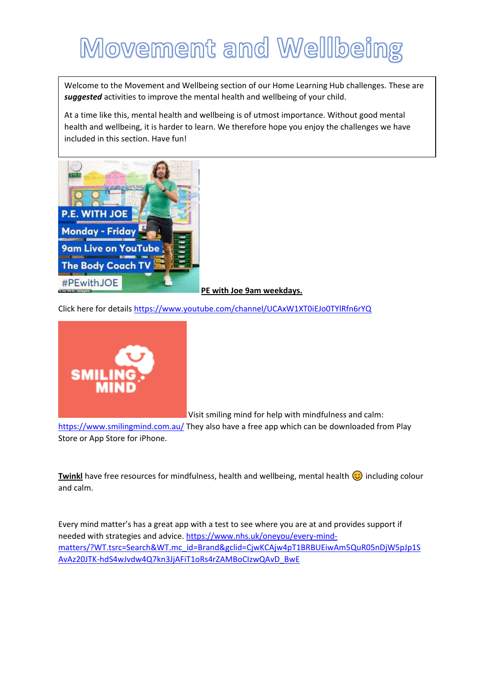## Movement and Wellbeing

Welcome to the Movement and Wellbeing section of our Home Learning Hub challenges. These are *suggested* activities to improve the mental health and wellbeing of your child.

At a time like this, mental health and wellbeing is of utmost importance. Without good mental health and wellbeing, it is harder to learn. We therefore hope you enjoy the challenges we have included in this section. Have fun!



## **PE with Joe 9am weekdays.**

Click here for detail[s https://www.youtube.com/channel/UCAxW1XT0iEJo0TYlRfn6rYQ](https://www.youtube.com/channel/UCAxW1XT0iEJo0TYlRfn6rYQ)



Visit smiling mind for help with mindfulness and calm:

<https://www.smilingmind.com.au/> They also have a free app which can be downloaded from Play Store or App Store for iPhone.

**Twinkl** have free resources for mindfulness, health and wellbeing, mental health  $\odot$  including colour and calm.

Every mind matter's has a great app with a test to see where you are at and provides support if needed with strategies and advice. [https://www.nhs.uk/oneyou/every-mind](https://www.nhs.uk/oneyou/every-mind-matters/?WT.tsrc=Search&WT.mc_id=Brand&gclid=CjwKCAjw4pT1BRBUEiwAm5QuR05nDjW5pJp1SAvAz20JTK-hdS4wJvdw4Q7kn3JjAFiT1oRs4rZAMBoCIzwQAvD_BwE)[matters/?WT.tsrc=Search&WT.mc\\_id=Brand&gclid=CjwKCAjw4pT1BRBUEiwAm5QuR05nDjW5pJp1S](https://www.nhs.uk/oneyou/every-mind-matters/?WT.tsrc=Search&WT.mc_id=Brand&gclid=CjwKCAjw4pT1BRBUEiwAm5QuR05nDjW5pJp1SAvAz20JTK-hdS4wJvdw4Q7kn3JjAFiT1oRs4rZAMBoCIzwQAvD_BwE) [AvAz20JTK-hdS4wJvdw4Q7kn3JjAFiT1oRs4rZAMBoCIzwQAvD\\_BwE](https://www.nhs.uk/oneyou/every-mind-matters/?WT.tsrc=Search&WT.mc_id=Brand&gclid=CjwKCAjw4pT1BRBUEiwAm5QuR05nDjW5pJp1SAvAz20JTK-hdS4wJvdw4Q7kn3JjAFiT1oRs4rZAMBoCIzwQAvD_BwE)